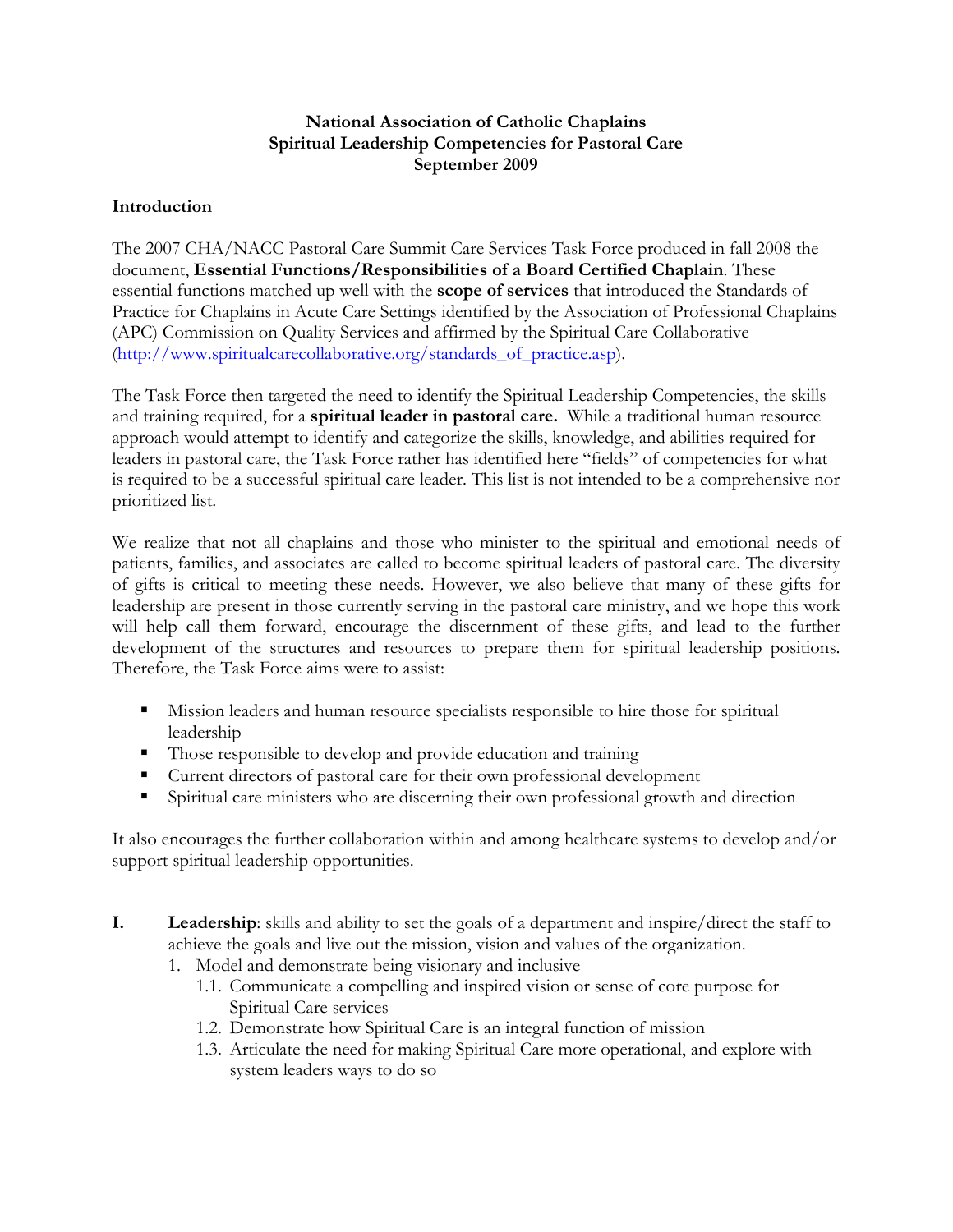## National Association of Catholic Chaplains Spiritual Leadership Competencies for Pastoral Care September 2009

## **Introduction**

The 2007 CHA/NACC Pastoral Care Summit Care Services Task Force produced in fall 2008 the document, Essential Functions/Responsibilities of a Board Certified Chaplain. These essential functions matched up well with the scope of services that introduced the Standards of Practice for Chaplains in Acute Care Settings identified by the Association of Professional Chaplains (APC) Commission on Quality Services and affirmed by the Spiritual Care Collaborative (http://www.spiritualcarecollaborative.org/standards\_of\_practice.asp).

The Task Force then targeted the need to identify the Spiritual Leadership Competencies, the skills and training required, for a spiritual leader in pastoral care. While a traditional human resource approach would attempt to identify and categorize the skills, knowledge, and abilities required for leaders in pastoral care, the Task Force rather has identified here "fields" of competencies for what is required to be a successful spiritual care leader. This list is not intended to be a comprehensive nor prioritized list.

We realize that not all chaplains and those who minister to the spiritual and emotional needs of patients, families, and associates are called to become spiritual leaders of pastoral care. The diversity of gifts is critical to meeting these needs. However, we also believe that many of these gifts for leadership are present in those currently serving in the pastoral care ministry, and we hope this work will help call them forward, encourage the discernment of these gifts, and lead to the further development of the structures and resources to prepare them for spiritual leadership positions. Therefore, the Task Force aims were to assist:

- Mission leaders and human resource specialists responsible to hire those for spiritual leadership
- Those responsible to develop and provide education and training
- Current directors of pastoral care for their own professional development
- Spiritual care ministers who are discerning their own professional growth and direction

It also encourages the further collaboration within and among healthcare systems to develop and/or support spiritual leadership opportunities.

- I. Leadership: skills and ability to set the goals of a department and inspire/direct the staff to achieve the goals and live out the mission, vision and values of the organization.
	- 1. Model and demonstrate being visionary and inclusive
		- 1.1. Communicate a compelling and inspired vision or sense of core purpose for Spiritual Care services
		- 1.2. Demonstrate how Spiritual Care is an integral function of mission
		- 1.3. Articulate the need for making Spiritual Care more operational, and explore with system leaders ways to do so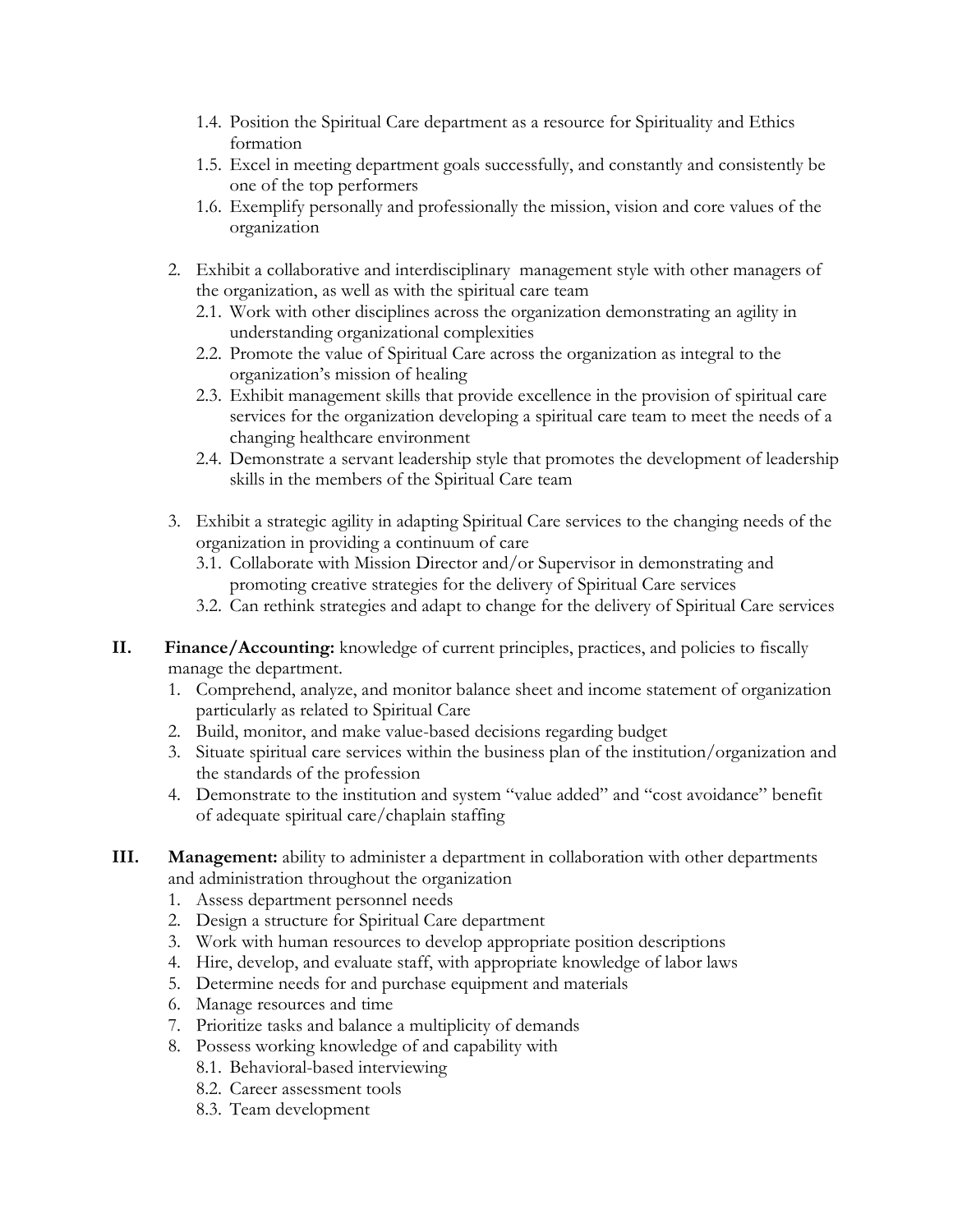- 1.4. Position the Spiritual Care department as a resource for Spirituality and Ethics formation
- 1.5. Excel in meeting department goals successfully, and constantly and consistently be one of the top performers
- 1.6. Exemplify personally and professionally the mission, vision and core values of the organization
- 2. Exhibit a collaborative and interdisciplinary management style with other managers of the organization, as well as with the spiritual care team
	- 2.1. Work with other disciplines across the organization demonstrating an agility in understanding organizational complexities
	- 2.2. Promote the value of Spiritual Care across the organization as integral to the organization's mission of healing
	- 2.3. Exhibit management skills that provide excellence in the provision of spiritual care services for the organization developing a spiritual care team to meet the needs of a changing healthcare environment
	- 2.4. Demonstrate a servant leadership style that promotes the development of leadership skills in the members of the Spiritual Care team
- 3. Exhibit a strategic agility in adapting Spiritual Care services to the changing needs of the organization in providing a continuum of care
	- 3.1. Collaborate with Mission Director and/or Supervisor in demonstrating and promoting creative strategies for the delivery of Spiritual Care services
	- 3.2. Can rethink strategies and adapt to change for the delivery of Spiritual Care services
- II. Finance/Accounting: knowledge of current principles, practices, and policies to fiscally manage the department.
	- 1. Comprehend, analyze, and monitor balance sheet and income statement of organization particularly as related to Spiritual Care
	- 2. Build, monitor, and make value-based decisions regarding budget
	- 3. Situate spiritual care services within the business plan of the institution/organization and the standards of the profession
	- 4. Demonstrate to the institution and system "value added" and "cost avoidance" benefit of adequate spiritual care/chaplain staffing
- III. Management: ability to administer a department in collaboration with other departments and administration throughout the organization
	- 1. Assess department personnel needs
	- 2. Design a structure for Spiritual Care department
	- 3. Work with human resources to develop appropriate position descriptions
	- 4. Hire, develop, and evaluate staff, with appropriate knowledge of labor laws
	- 5. Determine needs for and purchase equipment and materials
	- 6. Manage resources and time
	- 7. Prioritize tasks and balance a multiplicity of demands
	- 8. Possess working knowledge of and capability with
		- 8.1. Behavioral-based interviewing
		- 8.2. Career assessment tools
		- 8.3. Team development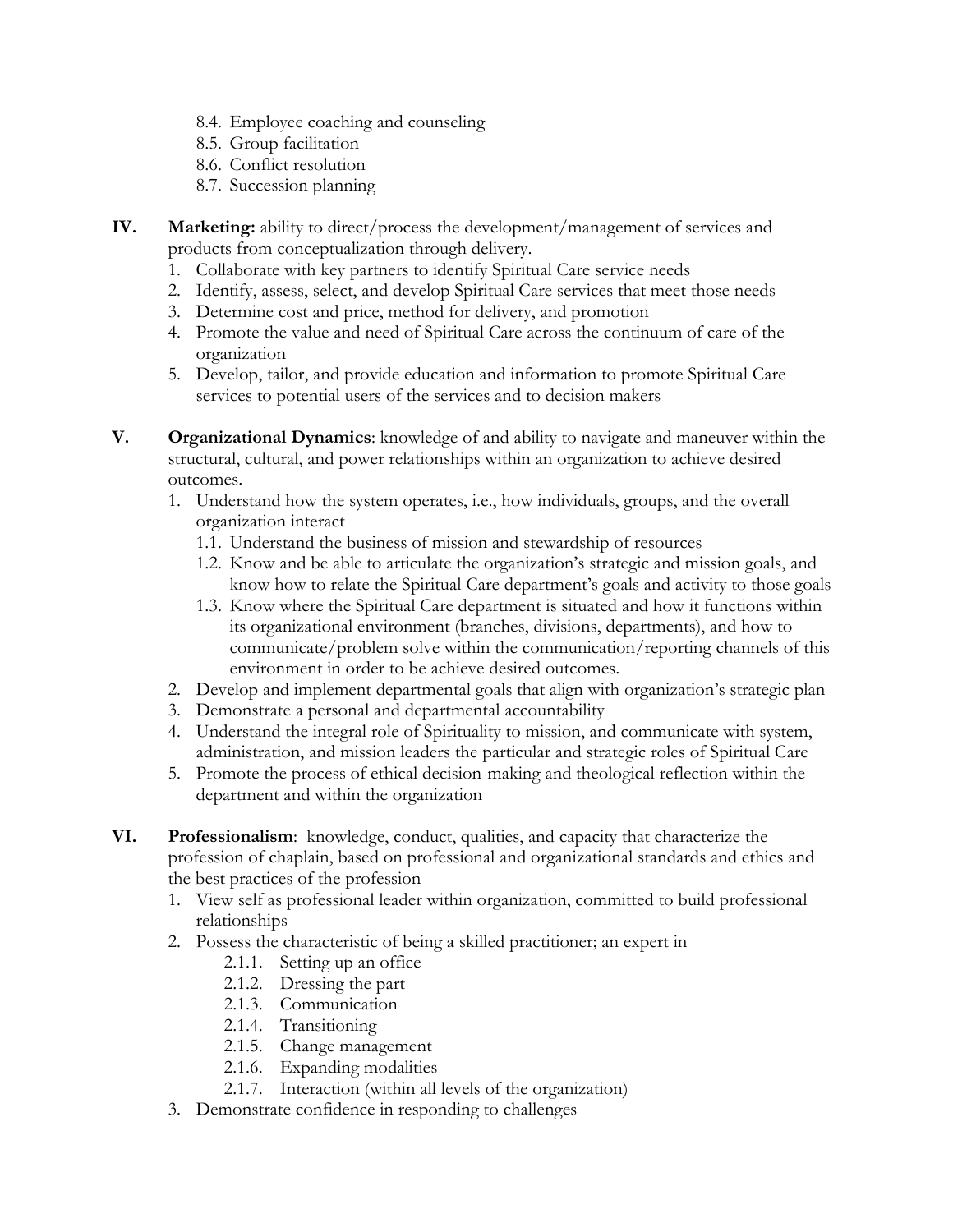- 8.4. Employee coaching and counseling
- 8.5. Group facilitation
- 8.6. Conflict resolution
- 8.7. Succession planning
- IV. Marketing: ability to direct/process the development/management of services and products from conceptualization through delivery.
	- 1. Collaborate with key partners to identify Spiritual Care service needs
	- 2. Identify, assess, select, and develop Spiritual Care services that meet those needs
	- 3. Determine cost and price, method for delivery, and promotion
	- 4. Promote the value and need of Spiritual Care across the continuum of care of the organization
	- 5. Develop, tailor, and provide education and information to promote Spiritual Care services to potential users of the services and to decision makers
- V. Organizational Dynamics: knowledge of and ability to navigate and maneuver within the structural, cultural, and power relationships within an organization to achieve desired outcomes.
	- 1. Understand how the system operates, i.e., how individuals, groups, and the overall organization interact
		- 1.1. Understand the business of mission and stewardship of resources
		- 1.2. Know and be able to articulate the organization's strategic and mission goals, and know how to relate the Spiritual Care department's goals and activity to those goals
		- 1.3. Know where the Spiritual Care department is situated and how it functions within its organizational environment (branches, divisions, departments), and how to communicate/problem solve within the communication/reporting channels of this environment in order to be achieve desired outcomes.
	- 2. Develop and implement departmental goals that align with organization's strategic plan
	- 3. Demonstrate a personal and departmental accountability
	- 4. Understand the integral role of Spirituality to mission, and communicate with system, administration, and mission leaders the particular and strategic roles of Spiritual Care
	- 5. Promote the process of ethical decision-making and theological reflection within the department and within the organization
- VI. Professionalism: knowledge, conduct, qualities, and capacity that characterize the profession of chaplain, based on professional and organizational standards and ethics and the best practices of the profession
	- 1. View self as professional leader within organization, committed to build professional relationships
	- 2. Possess the characteristic of being a skilled practitioner; an expert in
		- 2.1.1. Setting up an office
		- 2.1.2. Dressing the part
		- 2.1.3. Communication
		- 2.1.4. Transitioning
		- 2.1.5. Change management
		- 2.1.6. Expanding modalities
		- 2.1.7. Interaction (within all levels of the organization)
	- 3. Demonstrate confidence in responding to challenges